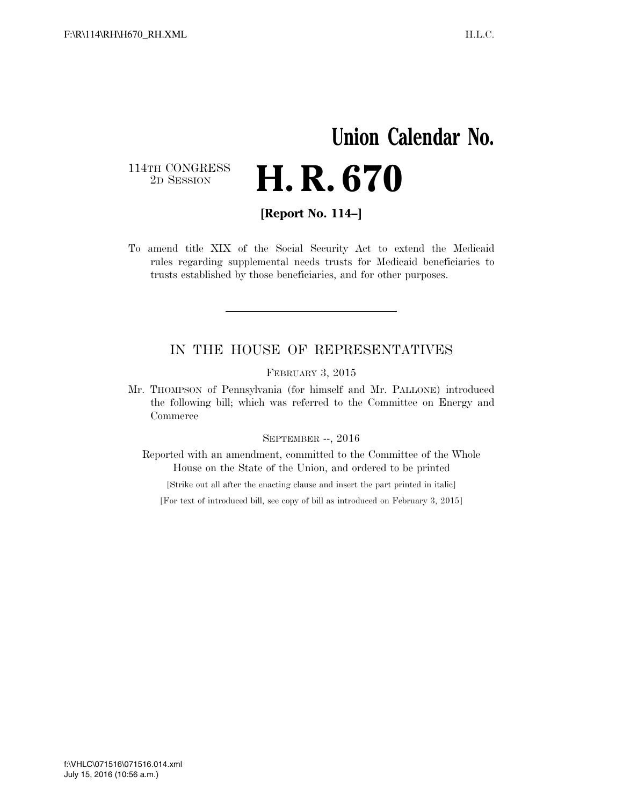## **Union Calendar No.**  114TH CONGRESS<br>2D SESSION 2D SESSION **H. R. 670**

**[Report No. 114–]** 

To amend title XIX of the Social Security Act to extend the Medicaid rules regarding supplemental needs trusts for Medicaid beneficiaries to trusts established by those beneficiaries, and for other purposes.

## IN THE HOUSE OF REPRESENTATIVES

FEBRUARY 3, 2015

Mr. THOMPSON of Pennsylvania (for himself and Mr. PALLONE) introduced the following bill; which was referred to the Committee on Energy and Commerce

## SEPTEMBER --, 2016

Reported with an amendment, committed to the Committee of the Whole House on the State of the Union, and ordered to be printed

[Strike out all after the enacting clause and insert the part printed in italic]

[For text of introduced bill, see copy of bill as introduced on February 3, 2015]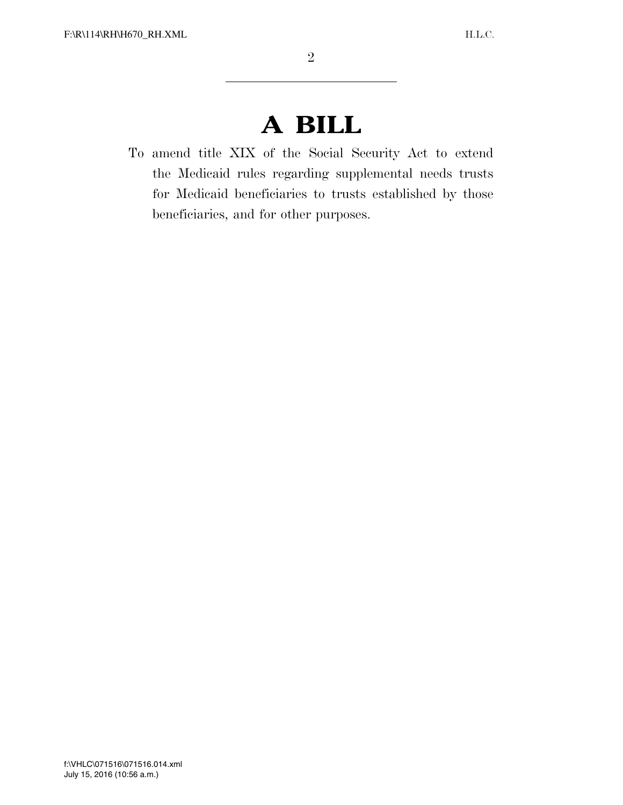## **A BILL**

To amend title XIX of the Social Security Act to extend the Medicaid rules regarding supplemental needs trusts for Medicaid beneficiaries to trusts established by those beneficiaries, and for other purposes.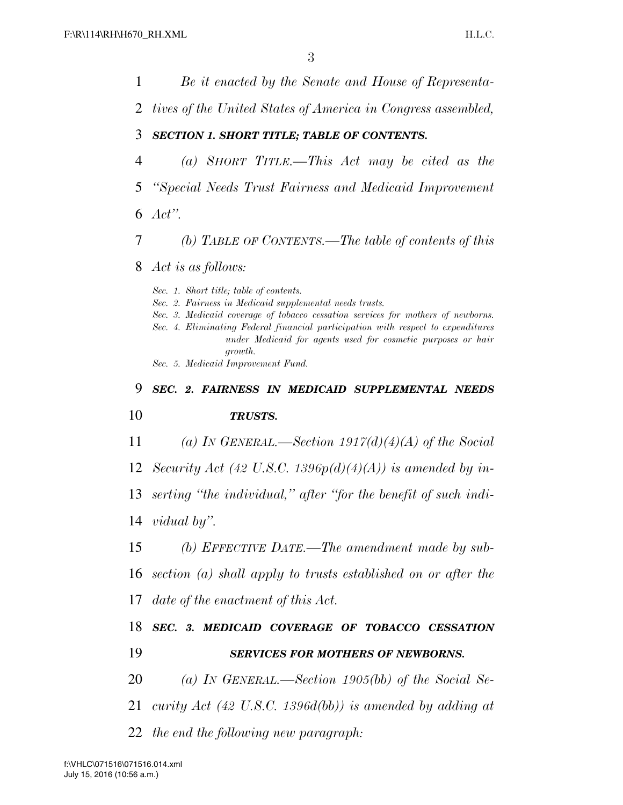*Be it enacted by the Senate and House of Representa- tives of the United States of America in Congress assembled, SECTION 1. SHORT TITLE; TABLE OF CONTENTS. (a) SHORT TITLE.—This Act may be cited as the ''Special Needs Trust Fairness and Medicaid Improvement Act''. (b) TABLE OF CONTENTS.—The table of contents of this Act is as follows: Sec. 1. Short title; table of contents. Sec. 2. Fairness in Medicaid supplemental needs trusts. Sec. 3. Medicaid coverage of tobacco cessation services for mothers of newborns. Sec. 4. Eliminating Federal financial participation with respect to expenditures under Medicaid for agents used for cosmetic purposes or hair growth. Sec. 5. Medicaid Improvement Fund. SEC. 2. FAIRNESS IN MEDICAID SUPPLEMENTAL NEEDS TRUSTS. (a) IN GENERAL.—Section 1917(d)(4)(A) of the Social Security Act (42 U.S.C. 1396p(d)(4)(A)) is amended by in- serting ''the individual,'' after ''for the benefit of such indi- vidual by''. (b) EFFECTIVE DATE.—The amendment made by sub- section (a) shall apply to trusts established on or after the date of the enactment of this Act. SEC. 3. MEDICAID COVERAGE OF TOBACCO CESSATION SERVICES FOR MOTHERS OF NEWBORNS. (a) IN GENERAL.—Section 1905(bb) of the Social Se- curity Act (42 U.S.C. 1396d(bb)) is amended by adding at the end the following new paragraph:*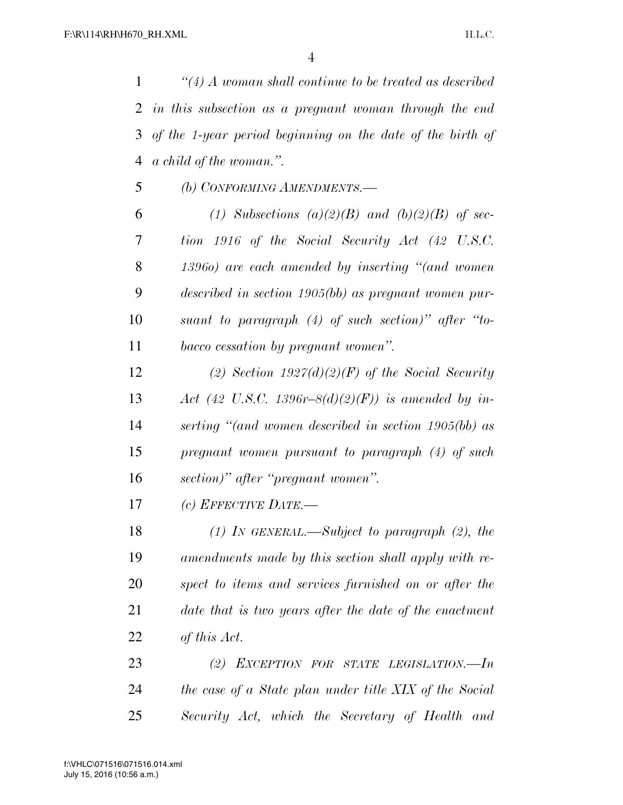*''(4) A woman shall continue to be treated as described in this subsection as a pregnant woman through the end of the 1-year period beginning on the date of the birth of a child of the woman.''.* 

*(b) CONFORMING AMENDMENTS.—* 

 *(1) Subsections (a)(2)(B) and (b)(2)(B) of sec- tion 1916 of the Social Security Act (42 U.S.C. 1396o) are each amended by inserting ''(and women described in section 1905(bb) as pregnant women pur- suant to paragraph (4) of such section)'' after ''to-bacco cessation by pregnant women''.* 

 *(2) Section 1927(d)(2)(F) of the Social Security Act (42 U.S.C. 1396r–8(d)(2)(F)) is amended by in- serting ''(and women described in section 1905(bb) as pregnant women pursuant to paragraph (4) of such section)'' after ''pregnant women''.* 

*(c) EFFECTIVE DATE.—* 

 *(1) IN GENERAL.—Subject to paragraph (2), the amendments made by this section shall apply with re- spect to items and services furnished on or after the date that is two years after the date of the enactment of this Act.* 

 *(2) EXCEPTION FOR STATE LEGISLATION.—In the case of a State plan under title XIX of the Social Security Act, which the Secretary of Health and*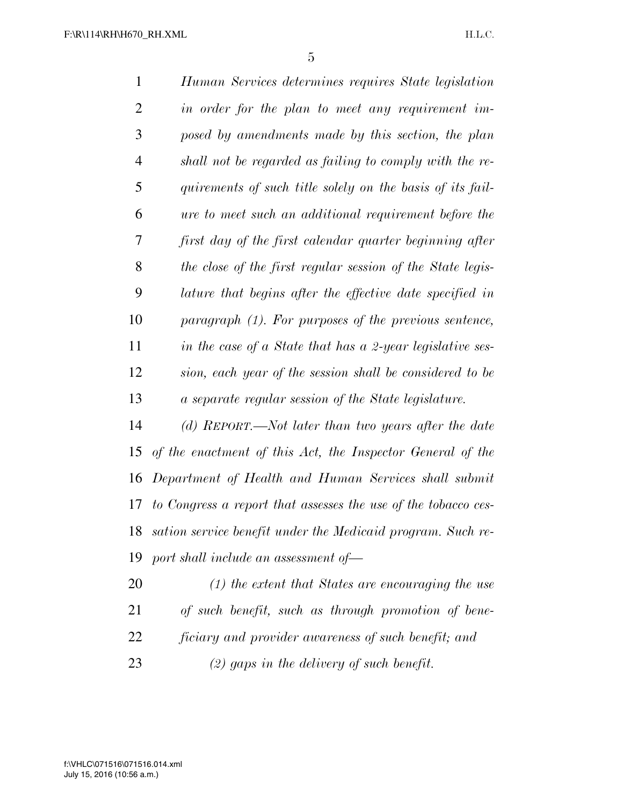| $\mathbf{1}$   | Human Services determines requires State legislation           |
|----------------|----------------------------------------------------------------|
| $\overline{2}$ | in order for the plan to meet any requirement im-              |
| 3              | posed by amendments made by this section, the plan             |
| $\overline{4}$ | shall not be regarded as failing to comply with the re-        |
| 5              | quirements of such title solely on the basis of its fail-      |
| 6              | ure to meet such an additional requirement before the          |
| 7              | first day of the first calendar quarter beginning after        |
| 8              | the close of the first regular session of the State legis-     |
| 9              | lature that begins after the effective date specified in       |
| 10             | $paragnph$ (1). For purposes of the previous sentence,         |
| 11             | in the case of a State that has a 2-year legislative ses-      |
| 12             | sion, each year of the session shall be considered to be       |
| 13             | a separate regular session of the State legislature.           |
| 14             | (d) REPORT.—Not later than two years after the date            |
| 15             | of the enactment of this Act, the Inspector General of the     |
| 16             | Department of Health and Human Services shall submit           |
| 17             | to Congress a report that assesses the use of the tobacco ces- |
| 18             | sation service benefit under the Medicaid program. Such re-    |
| 19             | port shall include an assessment of-                           |
| 20             | $(1)$ the extent that States are encouraging the use           |
| 21             | of such benefit, such as through promotion of bene-            |

*ficiary and provider awareness of such benefit; and* 

*(2) gaps in the delivery of such benefit.*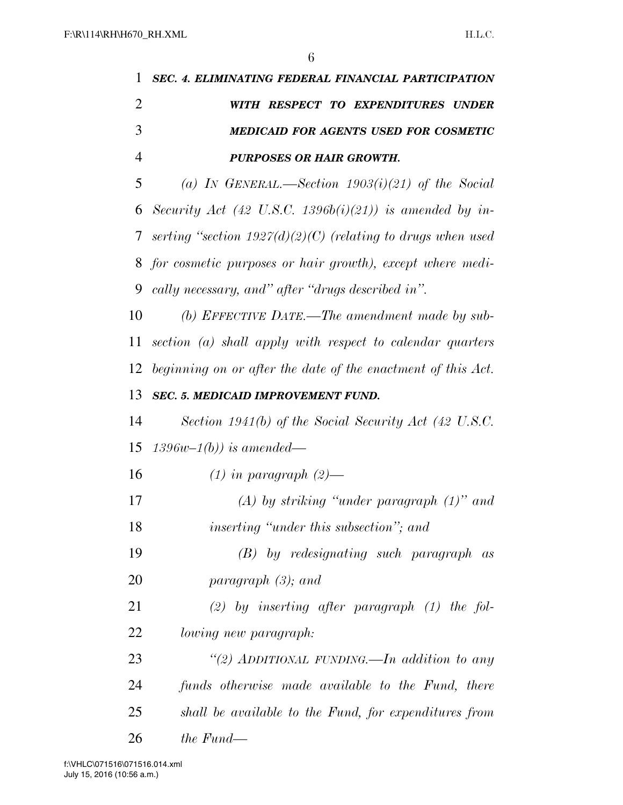| 1              | <b>SEC. 4. ELIMINATING FEDERAL FINANCIAL PARTICIPATION</b>    |  |  |
|----------------|---------------------------------------------------------------|--|--|
| $\overline{2}$ | WITH RESPECT TO EXPENDITURES UNDER                            |  |  |
| 3              | <b>MEDICAID FOR AGENTS USED FOR COSMETIC</b>                  |  |  |
| $\overline{4}$ | <b>PURPOSES OR HAIR GROWTH.</b>                               |  |  |
| 5              | (a) IN GENERAL.—Section $1903(i)(21)$ of the Social           |  |  |
| 6              | Security Act (42 U.S.C. 1396b(i)(21)) is amended by in-       |  |  |
| 7              | serting "section $1927(d)(2)(C)$ (relating to drugs when used |  |  |
| 8              | for cosmetic purposes or hair growth), except where medi-     |  |  |
| 9              | cally necessary, and" after "drugs described in".             |  |  |
| 10             | (b) EFFECTIVE DATE.—The amendment made by sub-                |  |  |
| 11             | section (a) shall apply with respect to calendar quarters     |  |  |
| 12             | beginning on or after the date of the enactment of this Act.  |  |  |
| 13             | <b>SEC. 5. MEDICAID IMPROVEMENT FUND.</b>                     |  |  |
| 14             | Section 1941(b) of the Social Security Act (42 U.S.C.         |  |  |
| 15             | $1396w-1(b)$ ) is amended—                                    |  |  |
| 16             | $(1)$ in paragraph $(2)$ —                                    |  |  |
| 17             | $(A)$ by striking "under paragraph $(1)$ " and                |  |  |
| 18             | <i>inserting "under this subsection"; and</i>                 |  |  |
| 19             | $(B)$ by redesignating such paragraph as                      |  |  |
| 20             | paragraph $(3)$ ; and                                         |  |  |
| 21             | $(2)$ by inserting after paragraph $(1)$ the fol-             |  |  |
| 22             | lowing new paragraph:                                         |  |  |
| 23             | "(2) ADDITIONAL FUNDING.—In addition to any                   |  |  |
| 24             | funds otherwise made available to the Fund, there             |  |  |
| 25             | shall be available to the Fund, for expenditures from         |  |  |
| 26             | the Fund—                                                     |  |  |